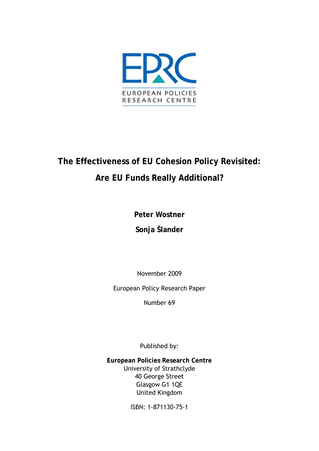

# **The Effectiveness of EU Cohesion Policy Revisited: Are EU Funds Really Additional?**

**Peter Wostner** 

**Sonja Šlander** 

November 2009

European Policy Research Paper

Number 69

Published by:

**European Policies Research Centre**  University of Strathclyde 40 George Street Glasgow G1 1QE United Kingdom

ISBN: 1-871130-75-1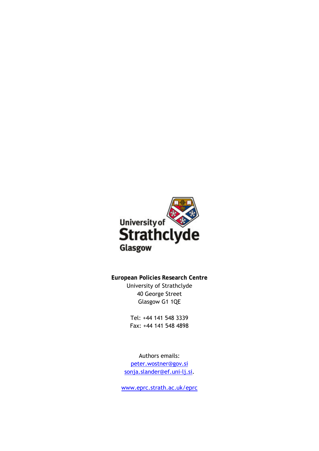

**European Policies Research Centre**  University of Strathclyde 40 George Street Glasgow G1 1QE

> Tel: +44 141 548 3339 Fax: +44 141 548 4898

Authors emails: [peter.wostner@gov.si](mailto:peter.wostner@gov.si) [sonja.slander@ef.uni-lj.si](mailto:sonja.slander@ef.uni-lj.si).

[www.eprc.strath.ac.uk/eprc](http://www.eprc.strath.ac.uk/eprc)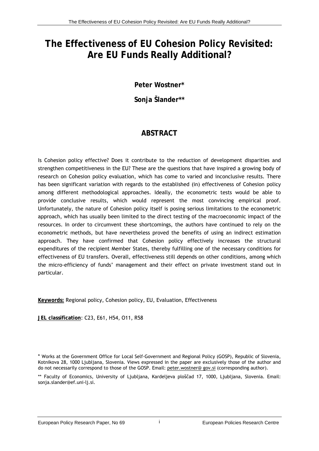## **The Effectiveness of EU Cohesion Policy Revisited: Are EU Funds Really Additional?**

**Peter Wostner\*** 

**Sonja Šlander\*\*** 

## **ABSTRACT**

Is Cohesion policy effective? Does it contribute to the reduction of development disparities and strengthen competitiveness in the EU? These are the questions that have inspired a growing body of research on Cohesion policy evaluation, which has come to varied and inconclusive results. There has been significant variation with regards to the established (in) effectiveness of Cohesion policy among different methodological approaches. Ideally, the econometric tests would be able to provide conclusive results, which would represent the most convincing empirical proof. Unfortunately, the nature of Cohesion policy itself is posing serious limitations to the econometric approach, which has usually been limited to the direct testing of the macroeconomic impact of the resources. In order to circumvent these shortcomings, the authors have continued to rely on the econometric methods, but have nevertheless proved the benefits of using an indirect estimation approach. They have confirmed that Cohesion policy effectively increases the structural expenditures of the recipient Member States, thereby fulfilling one of the necessary conditions for effectiveness of EU transfers. Overall, effectiveness still depends on other conditions, among which the micro-efficiency of funds' management and their effect on private investment stand out in particular.

**Keywords:** Regional policy, Cohesion policy, EU, Evaluation, Effectiveness

**JEL classification**: C23, E61, H54, O11, R58

<sup>\*</sup> Works at the Government Office for Local Self-Government and Regional Policy (GOSP), Republic of Slovenia, Kotnikova 28, 1000 Ljubljana, Slovenia. Views expressed in the paper are exclusively those of the author and do not necessarily correspond to those of the GOSP. Email: peter.wostner@ gov.si (corresponding author).

<sup>\*\*</sup> Faculty of Economics, University of Ljubljana, Kardeljeva ploščad 17, 1000, Ljubljana, Slovenia. Email: [sonja.slander@ef.uni-lj.si.](mailto:sonja.slander@ef.uni-lj.si)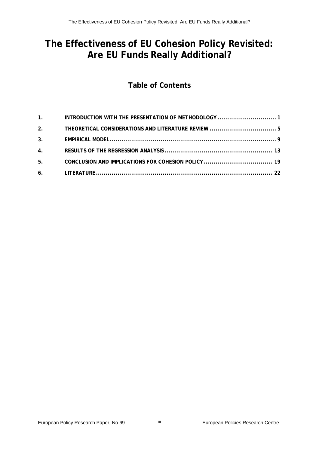## **The Effectiveness of EU Cohesion Policy Revisited: Are EU Funds Really Additional?**

## **Table of Contents**

| 2. |  |
|----|--|
|    |  |
|    |  |
| 5. |  |
|    |  |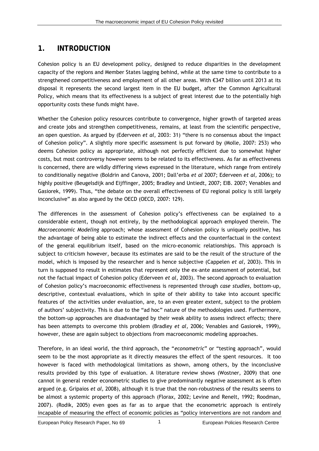#### <span id="page-6-0"></span>**1. INTRODUCTION**

Cohesion policy is an EU development policy, designed to reduce disparities in the development capacity of the regions and Member States lagging behind, while at the same time to contribute to a strengthened competitiveness and employment of all other areas. With €347 billion until 2013 at its disposal it represents the second largest item in the EU budget, after the Common Agricultural Policy, which means that its effectiveness is a subject of great interest due to the potentially high opportunity costs these funds might have.

Whether the Cohesion policy resources contribute to convergence, higher growth of targeted areas and create jobs and strengthen competitiveness, remains, at least from the scientific perspective, an open question. As argued by (Ederveen *et al*, 2003: 31) "there is no consensus about the impact of Cohesion policy". A slightly more specific assessment is put forward by (Molle, 2007: 253) who deems Cohesion policy as appropriate, although not perfectly efficient due to somewhat higher costs, but most controversy however seems to be related to its effectiveness. As far as effectiveness is concerned, there are wildly differing views expressed in the literature, which range from entirely to conditionally negative (Boldrin and Canova, 2001; Dall'erba *et al* 2007; Ederveen *et al,* 2006); to highly positive (Beugelsdijk and Eijffinger, 2005; Bradley and Untiedt, 2007; EIB. 2007; Venables and Gasiorek, 1999). Thus, "the debate on the overall effectiveness of EU regional policy is still largely inconclusive" as also argued by the OECD (OECD, 2007: 129).

The differences in the assessment of Cohesion policy's effectiveness can be explained to a considerable extent, though not entirely, by the methodological approach employed therein. The *Macroeconomic Modeling* approach; whose assessment of Cohesion policy is uniquely positive, has the advantage of being able to estimate the indirect effects and the counterfactual in the context of the general equilibrium itself, based on the micro-economic relationships. This approach is subject to criticism however, because its estimates are said to be the result of the structure of the model, which is imposed by the researcher and is hence subjective (Cappelen *et al,* 2003). This in turn is supposed to result in estimates that represent only the ex-ante assessment of potential, but not the factual impact of Cohesion policy (Ederveen *et al*, 2003). The second approach to evaluation of Cohesion policy's macroeconomic effectiveness is represented through *case studies*, bottom-up, descriptive, contextual evaluations, which in spite of their ability to take into account specific features of the activities under evaluation, are, to an even greater extent, subject to the problem of authors' subjectivity. This is due to the "ad hoc" nature of the methodologies used. Furthermore, the bottom-up approaches are disadvantaged by their weak ability to assess indirect effects; there has been attempts to overcome this problem (Bradley *et al*, 2006; Venables and Gasiorek, 1999), however, these are again subject to objections from macroeconomic modeling approaches.

Therefore, in an ideal world, the third approach, the "*econometric*" or "testing approach", would seem to be the most appropriate as it directly measures the effect of the spent resources. It too however is faced with methodological limitations as shown, among others, by the inconclusive results provided by this type of evaluation. A literature review shows (Wostner, 2009) that one cannot in general render econometric studies to give predominantly negative assessment as is often argued (e.g. Gripaios *et al,* 2008), although it is true that the non-robustness of the results seems to be almost a systemic property of this approach (Florax, 2002; Levine and Renelt, 1992; Roodman, 2007). (Rodik, 2005) even goes as far as to argue that the econometric approach is entirely incapable of measuring the effect of economic policies as "policy interventions are not random and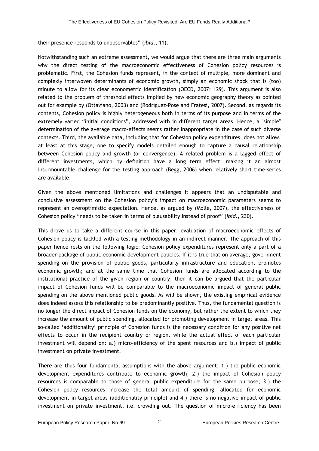their presence responds to unobservables" (*ibid*., 11).

Notwithstanding such an extreme assessment, we would argue that there are three main arguments why the direct testing of the macroeconomic effectiveness of Cohesion policy resources is problematic. First, the Cohesion funds represent, in the context of multiple, more dominant and complexly interwoven determinants of economic growth, simply an economic shock that is (too) minute to allow for its clear econometric identification (OECD, 2007: 129). This argument is also related to the problem of threshold effects implied by new economic geography theory as pointed out for example by (Ottaviano, 2003) and (Rodríguez-Pose and Fratesi, 2007). Second, as regards its contents, Cohesion policy is highly heterogeneous both in terms of its purpose and in terms of the extremely varied "initial conditions", addressed with in different target areas. Hence, a "simple" determination of the average macro-effects seems rather inappropriate in the case of such diverse contexts. Third, the available data, including that for Cohesion policy expenditures, does not allow, at least at this stage, one to specify models detailed enough to capture a causal relationship between Cohesion policy and growth (or convergence). A related problem is a lagged effect of different investments, which by definition have a long term effect, making it an almost insurmountable challenge for the testing approach (Begg, 2006) when relatively short time-series are available.

Given the above mentioned limitations and challenges it appears that an undisputable and conclusive assessment on the Cohesion policy's impact on macroeconomic parameters seems to represent an overoptimistic expectation. Hence, as argued by (Molle, 2007), the effectiveness of Cohesion policy "needs to be taken in terms of plausability instead of proof" (*ibid*., 230).

This drove us to take a different course in this paper: evaluation of macroeconomic effects of Cohesion policy is tackled with a testing methodology in an indirect manner. The approach of this paper hence rests on the following logic: Cohesion policy expenditures represent only a part of a broader package of public economic development policies. If it is true that on average, government spending on the provision of public goods, particularly infrastructure and education, promotes economic growth; and at the same time that Cohesion funds are allocated according to the institutional practice of the given region or country; then it can be argued that the particular impact of Cohesion funds will be comparable to the macroeconomic impact of general public spending on the above mentioned public goods. As will be shown, the existing empirical evidence does indeed assess this relationship to be predominantly positive. Thus, the fundamental question is no longer the direct impact of Cohesion funds on the economy, but rather the extent to which they increase the amount of public spending, allocated for promoting development in target areas. This so-called 'additionality' principle of Cohesion funds is the necessary condition for any positive net effects to occur in the recipient country or region, while the actual effect of each particular investment will depend on: a.) micro-efficiency of the spent resources and b.) impact of public investment on private investment.

There are thus four fundamental assumptions with the above argument: 1.) the public economic development expenditures contribute to economic growth; 2.) the impact of Cohesion policy resources is comparable to those of general public expenditure for the same purpose; 3.) the Cohesion policy resources increase the total amount of spending, allocated for economic development in target areas (additionality principle) and 4.) there is no negative impact of public investment on private investment, i.e. crowding out. The question of micro-efficiency has been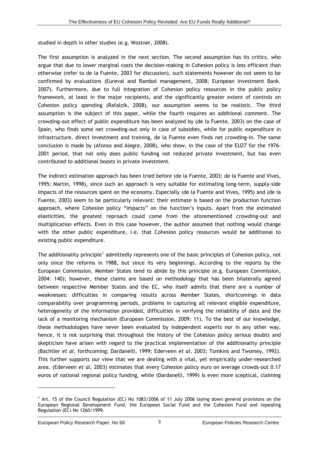studied in depth in other studies (e.g. Wostner, 2008).

The first assumption is analyzed in the next section. The second assumption has its critics, who argue that due to lower marginal costs the decision-making in Cohesion policy is less efficient than otherwise (refer to de la Fuente, 2003 for discussion), such statements however do not seem to be confirmed by evaluations (Eureval and Rambol management, 2008; European Investment Bank. 2007). Furthermore, due to full integration of Cohesion policy resources in the public policy framework, at least in the major recipients, and the significantly greater extent of controls on Cohesion policy spending (Rafalzik, 2008), our assumption seems to be realistic. The third assumption is the subject of this paper, while the fourth requires an additional comment. The crowding-out effect of public expenditure has been analyzed by (de la Fuente, 2003) on the case of Spain, who finds some net crowding-out only in case of subsidies, while for public expenditure in infrastructure, direct investment and training, de la Fuente even finds net crowding-in. The same conclusion is made by (Afonso and Alegre, 2008), who show, in the case of the EU27 for the 1976- 2001 period, that not only does public funding not reduced private investment, but has even contributed to additional boosts in private investment.

The indirect estimation approach has been tried before (de la Fuente, 2003; de la Fuente and Vives, 1995; Martin, 1998), since such an approach is very suitable for estimating long-term, supply-side impacts of the resources spent on the economy. Especially (de la Fuente and Vives, 1995) and (de la Fuente, 2003) seem to be particularly relevant: their estimate is based on the production function approach, where Cohesion policy "impacts" on the function's inputs. Apart from the estimated elasticities, the greatest reproach could come from the aforementioned crowding-out and multiplication effects. Even in this case however, the author assumed that nothing would change with the other public expenditure, i.e. that Cohesion policy resources would be additional to existing public expenditure.

The additionality principle<sup>[1](#page-8-0)</sup> admittedly represents one of the basic principles of Cohesion policy, not only since the reforms in 1988, but since its very beginnings. According to the reports by the European Commission, Member States tend to abide by this principle (e.g. European Commission, 2004: 140); however, these claims are based on methodology that has been bilaterally agreed between respective Member States and the EC, who itself admits that there are a number of weaknesses: difficulties in comparing results across Member States, shortcomings in data comparability over programming periods, problems in capturing all relevant eligible expenditure, heterogeneity of the information provided, difficulties in verifying the reliability of data and the lack of a monitoring mechanism (European Commission, 2009: 11). To the best of our knowledge, these methodologies have never been evaluated by independent experts nor in any other way, hence, it is not surprising that throughout the history of the Cohesion policy serious doubts and skepticism have arisen with regard to the practical implementation of the additionality principle (Bachtler *et al,* forthcoming; Dardanelli, 1999; Ederveen *et al,* 2003; Tomkins and Twomey, 1992). This further supports our view that we are dealing with a vital, yet empirically under-researched area. (Ederveen *et al,* 2003) estimates that every Cohesion policy euro on average crowds-out 0.17 euros of national regional policy funding, while (Dardanelli, 1999) is even more sceptical, claiming

-

<span id="page-8-0"></span><sup>1</sup> Art. 15 of the Council Regulation (EC) No 1083/2006 of 11 July 2006 laying down general provisions on the European Regional Development Fund, the European Social Fund and the Cohesion Fund and repealing Regulation (EC) No 1260/1999.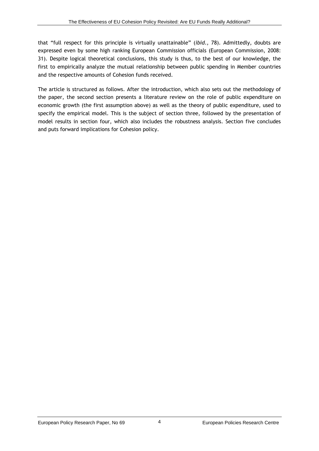that "full respect for this principle is virtually unattainable" (*ibid*., 78). Admittedly, doubts are expressed even by some high ranking European Commission officials (European Commission, 2008: 31). Despite logical theoretical conclusions, this study is thus, to the best of our knowledge, the first to empirically analyze the mutual relationship between public spending in Member countries and the respective amounts of Cohesion funds received.

The article is structured as follows. After the introduction, which also sets out the methodology of the paper, the second section presents a literature review on the role of public expenditure on economic growth (the first assumption above) as well as the theory of public expenditure, used to specify the empirical model. This is the subject of section three, followed by the presentation of model results in section four, which also includes the robustness analysis. Section five concludes and puts forward implications for Cohesion policy.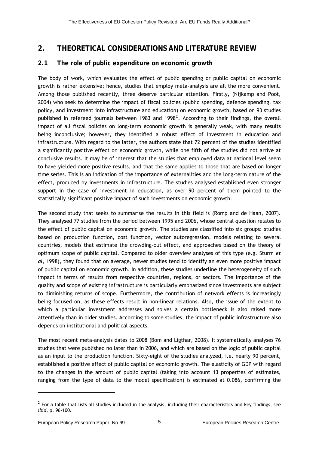## **2. THEORETICAL CONSIDERATIONS AND LITERATURE REVIEW**

#### **2.1 The role of public expenditure on economic growth**

The body of work, which evaluates the effect of public spending or public capital on economic growth is rather extensive; hence, studies that employ meta-analysis are all the more convenient. Among those published recently, three deserve particular attention. Firstly, (Nijkamp and Poot, 2004) who seek to determine the impact of fiscal policies (public spending, defence spending, tax policy, and investment into infrastructure and education) on economic growth, based on 93 studies published in refereed journals between 1983 and 1998<sup>[2](#page-10-1)</sup>. According to their findings, the overall impact of all fiscal policies on long-term economic growth is generally weak, with many results being inconclusive; however, they identified a robust effect of investment in education and infrastructure. With regard to the latter, the authors state that 72 percent of the studies identified a significantly positive effect on economic growth, while one fifth of the studies did not arrive at conclusive results. It may be of interest that the studies that employed data at national level seem to have yielded more positive results, and that the same applies to those that are based on longer time series. This is an indication of the importance of externalities and the long-term nature of the effect, produced by investments in infrastructure. The studies analysed established even stronger support in the case of investment in education, as over 90 percent of them pointed to the statistically significant positive impact of such investments on economic growth.

<span id="page-10-0"></span>The second study that seeks to summarise the results in this field is (Romp and de Haan, 2007). They analysed 77 studies from the period between 1995 and 2006, whose central question relates to the effect of public capital on economic growth. The studies are classified into six groups: studies based on production function, cost function, vector autoregression, models relating to several countries, models that estimate the crowding-out effect, and approaches based on the theory of optimum scope of public capital. Compared to older overview analyses of this type (e.g. Sturm *et al,* 1998), they found that on average, newer studies tend to identify an even more positive impact of public capital on economic growth. In addition, these studies underline the heterogeneity of such impact in terms of results from respective countries, regions, or sectors. The importance of the quality and scope of existing infrastructure is particularly emphasized since investments are subject to diminishing returns of scope. Furthermore, the contribution of network effects is increasingly being focused on, as these effects result in non-linear relations. Also, the issue of the extent to which a particular investment addresses and solves a certain bottleneck is also raised more attentively than in older studies. According to some studies, the impact of public infrastructure also depends on institutional and political aspects.

The most recent meta-analysis dates to 2008 (Bom and Ligthar, 2008). It systematically analyses 76 studies that were published no later than in 2006, and which are based on the logic of public capital as an input to the production function. Sixty-eight of the studies analyzed, i.e. nearly 90 percent, established a positive effect of public capital on economic growth. The elasticity of GDP with regard to the changes in the amount of public capital (taking into account 13 properties of estimates, ranging from the type of data to the model specification) is estimated at 0.086, confirming the

-

<span id="page-10-1"></span> $2$  For a table that lists all studies included in the analysis, including their characteristics and key findings, see *ibid*, p. 96-100.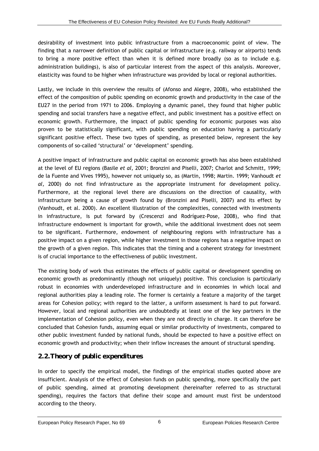desirability of investment into public infrastructure from a macroeconomic point of view. The finding that a narrower definition of public capital or infrastructure (e.g. railway or airports) tends to bring a more positive effect than when it is defined more broadly (so as to include e.g. administration buildings), is also of particular interest from the aspect of this analysis. Moreover, elasticity was found to be higher when infrastructure was provided by local or regional authorities.

Lastly, we include in this overview the results of (Afonso and Alegre, 2008), who established the effect of the composition of public spending on economic growth and productivity in the case of the EU27 in the period from 1971 to 2006. Employing a dynamic panel, they found that higher public spending and social transfers have a negative effect, and public investment has a positive effect on economic growth. Furthermore, the impact of public spending for economic purposes was also proven to be statistically significant, with public spending on education having a particularly significant positive effect. These two types of spending, as presented below, represent the key components of so-called 'structural' or 'development' spending.

A positive impact of infrastructure and public capital on economic growth has also been established at the level of EU regions (Basile *et al,* 2001; Bronzini and Piselli, 2007; Charlot and Schmitt, 1999; de la Fuente and Vives 1995), however not uniquely so, as (Martin, 1998; Martin. 1999; Vanhoudt *et al,* 2000) do not find infrastructure as the appropriate instrument for development policy. Furthermore, at the regional level there are discussions on the direction of causality, with infrastructure being a cause of growth found by (Bronzini and Piselli, 2007) and its effect by (Vanhoudt, et al. 2000). An excellent illustration of the complexities, connected with investments in infrastructure, is put forward by (Crescenzi and Rodríguez-Pose, 2008), who find that infrastructure endowment is important for growth, while the additional investment does not seem to be significant. Furthermore, endowment of neighbouring regions with infrastructure has a positive impact on a given region, while higher investment in those regions has a negative impact on the growth of a given region. This indicates that the timing and a coherent strategy for investment is of crucial importance to the effectiveness of public investment.

The existing body of work thus estimates the effects of public capital or development spending on economic growth as predominantly (though not uniquely) positive. This conclusion is particularly robust in economies with underdeveloped infrastructure and in economies in which local and regional authorities play a leading role. The former is certainly a feature a majority of the target areas for Cohesion policy; with regard to the latter, a uniform assessment is hard to put forward. However, local and regional authorities are undoubtedly at least one of the key partners in the implementation of Cohesion policy, even when they are not directly in charge. It can therefore be concluded that Cohesion funds, assuming equal or similar productivity of investments, compared to other public investment funded by national funds, should be expected to have a positive effect on economic growth and productivity; when their inflow increases the amount of structural spending.

#### *2.2.Theory of public expenditures*

In order to specify the empirical model, the findings of the empirical studies quoted above are insufficient. Analysis of the effect of Cohesion funds on public spending, more specifically the part of public spending, aimed at promoting development (hereinafter referred to as structural spending), requires the factors that define their scope and amount must first be understood according to the theory.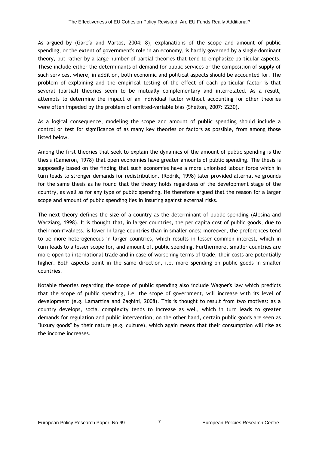As argued by (García and Martos, 2004: 8), explanations of the scope and amount of public spending, or the extent of government's role in an economy, is hardly governed by a single dominant theory, but rather by a large number of partial theories that tend to emphasize particular aspects. These include either the determinants of demand for public services or the composition of supply of such services, where, in addition, both economic and political aspects should be accounted for. The problem of explaining and the empirical testing of the effect of each particular factor is that several (partial) theories seem to be mutually complementary and interrelated. As a result, attempts to determine the impact of an individual factor without accounting for other theories were often impeded by the problem of omitted-variable bias (Shelton, 2007: 2230).

As a logical consequence, modeling the scope and amount of public spending should include a control or test for significance of as many key theories or factors as possible, from among those listed below.

Among the first theories that seek to explain the dynamics of the amount of public spending is the thesis (Cameron, 1978) that open economies have greater amounts of public spending. The thesis is supposedly based on the finding that such economies have a more unionised labour force which in turn leads to stronger demands for redistribution. (Rodrik, 1998) later provided alternative grounds for the same thesis as he found that the theory holds regardless of the development stage of the country, as well as for any type of public spending. He therefore argued that the reason for a larger scope and amount of public spending lies in insuring against external risks.

The next theory defines the size of a country as the determinant of public spending (Alesina and Wacziarg, 1998). It is thought that, in larger countries, the per capita cost of public goods, due to their non-rivalness, is lower in large countries than in smaller ones; moreover, the preferences tend to be more heterogeneous in larger countries, which results in lesser common interest, which in turn leads to a lesser scope for, and amount of, public spending. Furthermore, smaller countries are more open to international trade and in case of worsening terms of trade, their costs are potentially higher. Both aspects point in the same direction, i.e. more spending on public goods in smaller countries.

Notable theories regarding the scope of public spending also include Wagner's law which predicts that the scope of public spending, i.e. the scope of government, will increase with its level of development (e.g. Lamartina and Zaghini, 2008). This is thought to result from two motives: as a country develops, social complexity tends to increase as well, which in turn leads to greater demands for regulation and public intervention; on the other hand, certain public goods are seen as "luxury goods" by their nature (e.g. culture), which again means that their consumption will rise as the income increases.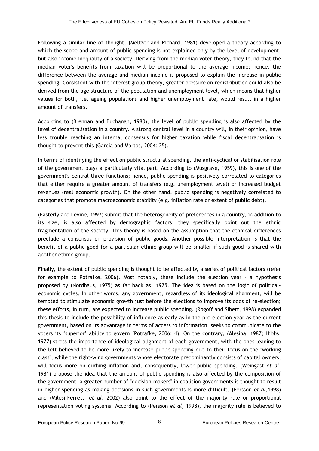Following a similar line of thought, (Meltzer and Richard, 1981) developed a theory according to which the scope and amount of public spending is not explained only by the level of development, but also income inequality of a society. Deriving from the median voter theory, they found that the median voter's benefits from taxation will be proportional to the average income; hence, the difference between the average and median income is proposed to explain the increase in public spending. Consistent with the interest group theory, greater pressure on redistribution could also be derived from the age structure of the population and unemployment level, which means that higher values for both, i.e. ageing populations and higher unemployment rate, would result in a higher amount of transfers.

According to (Brennan and Buchanan, 1980), the level of public spending is also affected by the level of decentralisation in a country. A strong central level in a country will, in their opinion, have less trouble reaching an internal consensus for higher taxation while fiscal decentralisation is thought to prevent this (García and Martos, 2004: 25).

In terms of identifying the effect on public structural spending, the anti-cyclical or stabilisation role of the government plays a particularly vital part. According to (Musgrave, 1959), this is one of the government's central three functions; hence, public spending is positively correlated to categories that either require a greater amount of transfers (e.g. unemployment level) or increased budget revenues (real economic growth). On the other hand, public spending is negatively correlated to categories that promote macroeconomic stability (e.g. inflation rate or extent of public debt).

(Easterly and Levine, 1997) submit that the heterogeneity of preferences in a country, in addition to its size, is also affected by demographic factors; they specifically point out the ethnic fragmentation of the society. This theory is based on the assumption that the ethnical differences preclude a consensus on provision of public goods. Another possible interpretation is that the benefit of a public good for a particular ethnic group will be smaller if such good is shared with another ethnic group.

Finally, the extent of public spending is thought to be affected by a series of political factors (refer for example to Potrafke, 2006). Most notably, these include the election year – a hypothesis proposed by (Nordhaus, 1975) as far back as 1975. The idea is based on the logic of politicaleconomic cycles. In other words, any government, regardless of its ideological alignment, will be tempted to stimulate economic growth just before the elections to improve its odds of re-election; these efforts, in turn, are expected to increase public spending. (Rogoff and Sibert, 1998) expanded this thesis to include the possibility of influence as early as in the pre-election year as the current government, based on its advantage in terms of access to information, seeks to communicate to the voters its 'superior' ability to govern (Potrafke, 2006: 4). On the contrary, (Alesina, 1987; Hibbs, 1977) stress the importance of ideological alignment of each government, with the ones leaning to the left believed to be more likely to increase public spending due to their focus on the "working class", while the right-wing governments whose electorate predominantly consists of capital owners, will focus more on curbing inflation and, consequently, lower public spending. (Weingast *et al,* 1981) propose the idea that the amount of public spending is also affected by the composition of the government: a greater number of "decision-makers" in coalition governments is thought to result in higher spending as making decisions in such governments is more difficult. (Persson *et al,*1998) and (Milesi-Ferretti *et al,* 2002) also point to the effect of the majority rule or proportional representation voting systems. According to (Persson *et al,* 1998), the majority rule is believed to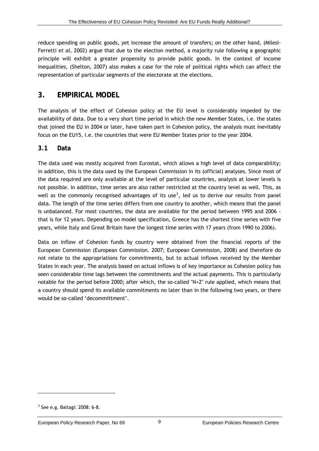reduce spending on public goods, yet increase the amount of transfers; on the other hand, (Milesi-Ferretti *et al,* 2002) argue that due to the election method, a majority rule following a geographic principle will exhibit a greater propensity to provide public goods. In the context of income inequalities, (Shelton, 2007) also makes a case for the role of political rights which can affect the representation of particular segments of the electorate at the elections.

#### <span id="page-14-0"></span>**3. EMPIRICAL MODEL**

The analysis of the effect of Cohesion policy at the EU level is considerably impeded by the availability of data. Due to a very short time period in which the new Member States, i.e. the states that joined the EU in 2004 or later, have taken part in Cohesion policy, the analysis must inevitably focus on the EU15, i.e. the countries that were EU Member States prior to the year 2004.

#### **3.1 Data**

The data used was mostly acquired from Eurostat, which allows a high level of data comparability; in addition, this is the data used by the European Commission in its (official) analyses. Since most of the data required are only available at the level of particular countries, analysis at lower levels is not possible. In addition, time series are also rather restricted at the country level as well. This, as well as the commonly recognised advantages of its use<sup>[3](#page-14-1)</sup>, led us to derive our results from panel data. The length of the time series differs from one country to another, which means that the panel is unbalanced. For most countries, the data are available for the period between 1995 and 2006 that is for 12 years. Depending on model specification, Greece has the shortest time series with five years, while Italy and Great Britain have the longest time series with 17 years (from 1990 to 2006).

Data on inflow of Cohesion funds by country were obtained from the financial reports of the European Commission (European Commission. 2007; European Commission, 2008) and therefore do not relate to the appropriations for commitments, but to actual inflows received by the Member States in each year. The analysis based on actual inflows is of key importance as Cohesion policy has seen considerable time lags between the commitments and the actual payments. This is particularly notable for the period before 2000; after which, the so-called "N+2" rule applied, which means that a country should spend its available commitments no later than in the following two years, or there would be so-called 'decommittment'.

-

<span id="page-14-1"></span> $3$  See e.g. Baltagi: 2008: 6-8.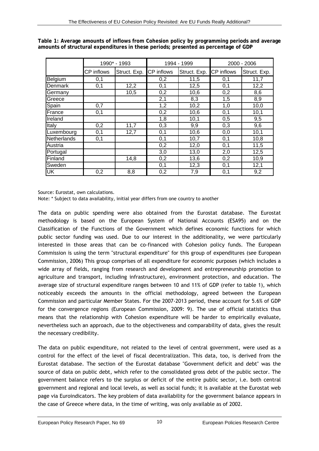|             | 1990* - 1993      |              |                   | 1994 - 1999  | 2000 - 2006 |                  |  |
|-------------|-------------------|--------------|-------------------|--------------|-------------|------------------|--|
|             | <b>CP</b> inflows | Struct. Exp. | <b>CP</b> inflows | Struct. Exp. | CP inflows  | Struct. Exp.     |  |
| Belgium     | 0,1               |              | 0,2               | 11,5         | 0,1         | 11,7             |  |
| Denmark     | 0,1               | 12,2         | 0,1               | 12,5         | 0,1         | 12,2             |  |
| Germany     |                   | 10,5         | 0,2               | 10,6         | 0,2         | 8,6              |  |
| Greece      |                   |              | 2,1               | 8,3          | 1,5         | $\overline{8,9}$ |  |
| Spain       | 0,7               |              | 1,2               | 10,2         | 1,0         | 10,0             |  |
| France      | 0,1               |              | 0,2               | 10,6         | 0,1         | 10,1             |  |
| Ireland     |                   |              | 1,8               | 10,1         | 0,5         | 9,5              |  |
| Italy       | 0,2               | 11,7         | 0,3               | 9,9          | 0,3         | 9,6              |  |
| Luxembourg  | 0,1               | 12,7         | 0,1               | 10,6         | 0,0         | 10,1             |  |
| Netherlands | 0,1               |              | 0,1               | 10,7         | 0,1         | 10,8             |  |
| Austria     |                   |              | 0,2               | 12,0         | 0,1         | 11,5             |  |
| Portugal    |                   |              | 3,0               | 13,0         | 2,0         | 12,5             |  |
| Finland     |                   | 14,8         | 0,2               | 13,6         | 0,2         | 10,9             |  |
| Sweden      |                   |              | 0,1               | 12,3         | 0,1         | 12,1             |  |
| <b>UK</b>   | 0,2               | 8,8          | 0,2               | 7,9          | 0,1         | 9,2              |  |

**Table 1: Average amounts of inflows from Cohesion policy by programming periods and average amounts of structural expenditures in these periods; presented as percentage of GDP** 

Source: Eurostat, own calculations.

Note: \* Subject to data availability, initial year differs from one country to another

The data on public spending were also obtained from the Eurostat database. The Eurostat methodology is based on the European System of National Accounts (ESA95) and on the Classification of the Functions of the Government which defines economic functions for which public sector funding was used. Due to our interest in the additionality, we were particularly interested in those areas that can be co-financed with Cohesion policy funds. The European Commission is using the term "structural expenditure" for this group of expenditures (see European Commission, 2006) This group comprises of all expenditure for economic purposes (which includes a wide array of fields, ranging from research and development and entrepreneurship promotion to agriculture and transport, including infrastructure), environment protection, and education. The average size of structural expenditure ranges between 10 and 11% of GDP (refer to table 1), which noticeably exceeds the amounts in the official methodology, agreed between the European Commission and particular Member States. For the 2007-2013 period, these account for 5.6% of GDP for the convergence regions (European Commission, 2009: 9). The use of official statistics thus means that the relationship with Cohesion expenditure will be harder to empirically evaluate, nevertheless such an approach, due to the objectiveness and comparability of data, gives the result the necessary credibility.

The data on public expenditure, not related to the level of central government, were used as a control for the effect of the level of fiscal decentralization. This data, too, is derived from the Eurostat database. The section of the Eurostat database "Government deficit and debt" was the source of data on public debt, which refer to the consolidated gross debt of the public sector. The government balance refers to the surplus or deficit of the entire public sector, i.e. both central government and regional and local levels, as well as social funds; it is available at the Eurostat web page via Euroindicators. The key problem of data availability for the government balance appears in the case of Greece where data, in the time of writing, was only available as of 2002.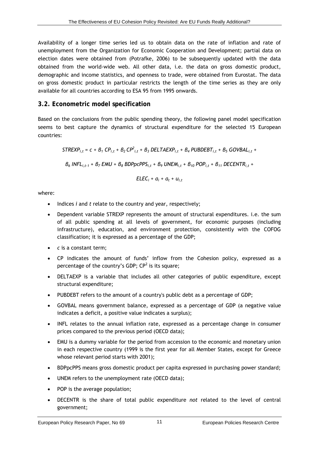Availability of a longer time series led us to obtain data on the rate of inflation and rate of unemployment from the Organization for Economic Cooperation and Development; partial data on election dates were obtained from (Potrafke, 2006) to be subsequently updated with the data obtained from the world-wide web. All other data, i.e. the data on gross domestic product, demographic and income statistics, and openness to trade, were obtained from Eurostat. The data on gross domestic product in particular restricts the length of the time series as they are only available for all countries according to ESA 95 from 1995 onwards.

#### **3.2. Econometric model specification**

Based on the conclusions from the public spending theory, the following panel model specification seems to best capture the dynamics of structural expenditure for the selected 15 European countries:

$$
STREXP_{i,t} = c + B_1 CP_{i,t} + B_2 CP_{i,t}^2 + B_3 DELTAEXP_{i,t} + B_4 PUBDEBT_{i,t} + B_5 GOVBAL_{i,t} +
$$

*β6 INFLi,t-1 + β7 EMU + β8 BDPpcPPSi,t + β9 UNEMi,t + β10 POPi,t + β11 DECENTRi,t +* 

$$
E L E C_i + a_i + a_t + u_{i,t}
$$

where:

- Indices *i* and *t* relate to the country and year, respectively;
- Dependent variable STREXP represents the amount of structural expenditures. i.e. the sum of all public spending at all levels of government, for economic purposes (including infrastructure), education, and environment protection, consistently with the COFOG classification; it is expressed as a percentage of the GDP;
- *c* is a constant term;
- CP indicates the amount of funds' inflow from the Cohesion policy, expressed as a percentage of the country's GDP;  $CP^2$  is its square;
- DELTAEXP is a variable that includes all other categories of public expenditure, except structural expenditure;
- PUBDEBT refers to the amount of a country's public debt as a percentage of GDP;
- GOVBAL means government balance, expressed as a percentage of GDP (a negative value indicates a deficit, a positive value indicates a surplus);
- INFL relates to the annual inflation rate, expressed as a percentage change in consumer prices compared to the previous period (OECD data);
- EMU is a dummy variable for the period from accession to the economic and monetary union in each respective country (1999 is the first year for all Member States, except for Greece whose relevant period starts with 2001);
- BDPpcPPS means gross domestic product per capita expressed in purchasing power standard;
- UNEM refers to the unemployment rate (OECD data);
- POP is the average population;
- DECENTR is the share of total public expenditure *not* related to the level of central government;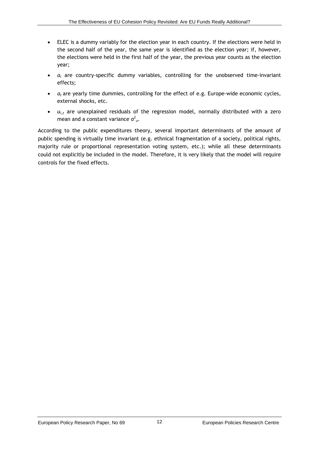- ELEC is a dummy variably for the election year in each country. If the elections were held in the second half of the year, the same year is identified as the election year; if, however, the elections were held in the first half of the year, the previous year counts as the election year;
- *α<sup>i</sup>* are country-specific dummy variables, controlling for the unobserved time-invariant effects;
- **•**  $a_t$  are yearly time dummies, controlling for the effect of e.g. Europe-wide economic cycles, external shocks, etc.
- $\bullet$   $u_{i,t}$  are unexplained residuals of the regression model, normally distributed with a zero mean and a constant variance  $\sigma_{u}^{2}$ .

According to the public expenditures theory, several important determinants of the amount of public spending is virtually time invariant (e.g. ethnical fragmentation of a society, political rights, majority rule or proportional representation voting system, etc.); while all these determinants could not explicitly be included in the model. Therefore, it is very likely that the model will require controls for the fixed effects.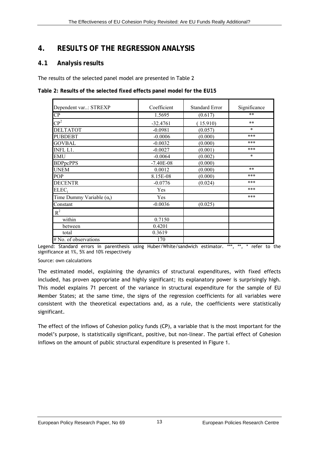### **4. RESULTS OF THE REGRESSION ANALYSIS**

#### **4.1 Analysis results**

The results of the selected panel model are presented in Table 2

**Table 2: Results of the selected fixed effects panel model for the EU15** 

| Dependent var: STREXP            | Coefficient | <b>Standard Error</b> | Significance |  |
|----------------------------------|-------------|-----------------------|--------------|--|
| $\overline{CP}$                  | 1.5695      | (0.617)               | $**$         |  |
| $\mathbb{CP}^2$                  | $-32.4761$  | (15.910)              | $**$         |  |
| <b>DELTATOT</b>                  | $-0.0981$   | (0.057)               | $\star$      |  |
| <b>PUBDEBT</b>                   | $-0.0006$   | (0.000)               | ***          |  |
| <b>GOVBAL</b>                    | $-0.0032$   | (0.000)               | ***          |  |
| INFL L1.                         | $-0.0027$   | (0.001)               | ***          |  |
| <b>EMU</b>                       | $-0.0064$   | (0.002)               | $\star$      |  |
| <b>BDPpcPPS</b>                  | $-7.40E-08$ | (0.000)               |              |  |
| <b>UNEM</b>                      | 0.0012      | (0.000)               | $**$         |  |
| POP                              | 8.15E-08    | (0.000)               | ***          |  |
| <b>DECENTR</b>                   | $-0.0776$   | (0.024)               | ***          |  |
| $ELEC_i$                         | Yes         |                       | ***          |  |
| Time Dummy Variable $(\alpha_t)$ | Yes         |                       | ***          |  |
| Constant                         | $-0.0036$   | (0.025)               |              |  |
| $R^2$                            |             |                       |              |  |
| within                           | 0.7150      |                       |              |  |
| between                          | 0.4201      |                       |              |  |
| total                            | 0.3619      |                       |              |  |
| # No. of observations            | 170         |                       |              |  |

<span id="page-18-0"></span>Legend: Standard errors in parenthesis using Huber/White/sandwich estimator. \*\*\*, \*\*, \* refer to the significance at 1%, 5% and 10% respectively

Source: own calculations

The estimated model, explaining the dynamics of structural expenditures, with fixed effects included, has proven appropriate and highly significant; its explanatory power is surprisingly high. This model explains 71 percent of the variance in structural expenditure for the sample of EU Member States; at the same time, the signs of the regression coefficients for all variables were consistent with the theoretical expectations and, as a rule, the coefficients were statistically significant.

The effect of the inflows of Cohesion policy funds (CP), a variable that is the most important for the model's purpose, is statistically significant, positive, but non-linear. The partial effect of Cohesion inflows on the amount of public structural expenditure is presented in Figure 1.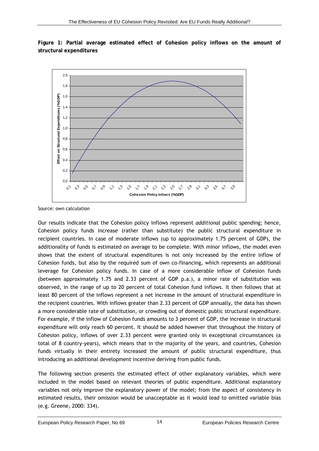**Figure 1: Partial average estimated effect of Cohesion policy inflows on the amount of structural expenditures**



Source: own calculation

Our results indicate that the Cohesion policy inflows represent *additional* public spending; hence, Cohesion policy funds increase (rather than substitute) the public structural expenditure in recipient countries. In case of moderate inflows (up to approximately 1.75 percent of GDP), the additionality of funds is estimated on average to be complete. With minor inflows, the model even shows that the extent of structural expenditures is not only increased by the entire inflow of Cohesion funds, but also by the required sum of own co-financing, which represents an additional leverage for Cohesion policy funds. In case of a more considerable inflow of Cohesion funds (between approximately 1.75 and 2.33 percent of GDP p.a.), a minor rate of substitution was observed, in the range of up to 20 percent of total Cohesion fund inflows. It then follows that at least 80 percent of the inflows represent a net increase in the amount of structural expenditure in the recipient countries. With inflows greater than 2.33 percent of GDP annually, the data has shown a more considerable rate of substitution, or crowding out of domestic public structural expenditure. For example, if the inflow of Cohesion funds amounts to 3 percent of GDP, the increase in structural expenditure will only reach 60 percent. It should be added however that throughout the history of Cohesion policy, inflows of over 2.33 percent were granted only in exceptional circumstances (a total of 8 country-years), which means that in the majority of the years, and countries, Cohesion funds virtually in their entirety increased the amount of public structural expenditure, thus introducing an additional development incentive deriving from public funds.

The following section presents the estimated effect of other explanatory variables, which were included in the model based on relevant theories of public expenditure. Additional explanatory variables not only improve the explanatory power of the model; from the aspect of consistency in estimated results, their omission would be unacceptable as it would lead to omitted variable bias (e.g. Greene, 2000: 334).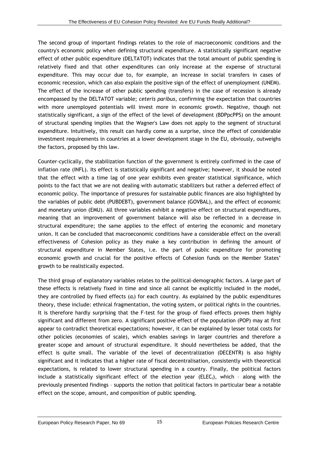The second group of important findings relates to the role of macroeconomic conditions and the country's economic policy when defining structural expenditure. A statistically significant negative effect of other public expenditure (DELTATOT) indicates that the total amount of public spending is relatively fixed and that other expenditures can only increase at the expense of structural expenditure. This may occur due to, for example, an increase in social transfers in cases of economic recession, which can also explain the positive sign of the effect of unemployment (UNEM). The effect of the increase of other public spending (transfers) in the case of recession is already encompassed by the DELTATOT variable; *ceteris paribus*, confirming the expectation that countries with more unemployed potentials will invest more in economic growth. Negative, though not statistically significant, a sign of the effect of the level of development (BDPpcPPS) on the amount of structural spending implies that the Wagner's Law does not apply to the segment of structural expenditure. Intuitively, this result can hardly come as a surprise, since the effect of considerable investment requirements in countries at a lower development stage in the EU, obviously, outweighs the factors, proposed by this law.

Counter-cyclically, the stabilization function of the government is entirely confirmed in the case of inflation rate (INFL). Its effect is statistically significant and negative; however, it should be noted that the effect with a time lag of one year exhibits even greater statistical significance, which points to the fact that we are not dealing with automatic stabilizers but rather a deferred effect of economic policy. The importance of pressures for sustainable public finances are also highlighted by the variables of public debt (PUBDEBT), government balance (GOVBAL), and the effect of economic and monetary union (EMU). All three variables exhibit a negative effect on structural expenditures, meaning that an improvement of government balance will also be reflected in a decrease in structural expenditure; the same applies to the effect of entering the economic and monetary union. It can be concluded that macroeconomic conditions have a considerable effect on the overall effectiveness of Cohesion policy as they make a key contribution in defining the amount of structural expenditure in Member States, i.e. the part of public expenditure for promoting economic growth and crucial for the positive effects of Cohesion funds on the Member States' growth to be realistically expected.

The third group of explanatory variables relates to the political-demographic factors. A large part of these effects is relatively fixed in time and since all cannot be explicitly included in the model, they are controlled by fixed effects (*αi*) for each country. As explained by the public expenditures theory, these include: ethnical fragmentation, the voting system, or political rights in the countries. It is therefore hardly surprising that the F-test for the group of fixed effects proves them highly significant and different from zero. A significant positive effect of the population (POP) may at first appear to contradict theoretical expectations; however, it can be explained by lesser total costs for other policies (economies of scale), which enables savings in larger countries and therefore a greater scope and amount of structural expenditure. It should nevertheless be added, that the effect is quite small. The variable of the level of decentralization (DECENTR) is also highly significant and it indicates that a higher rate of fiscal decentralisation, consistently with theoretical expectations, is related to lower structural spending in a country. Finally, the political factors include a statistically significant effect of the election year (ELEC<sub>i</sub>), which - along with the previously presented findings – supports the notion that political factors in particular bear a notable effect on the scope, amount, and composition of public spending.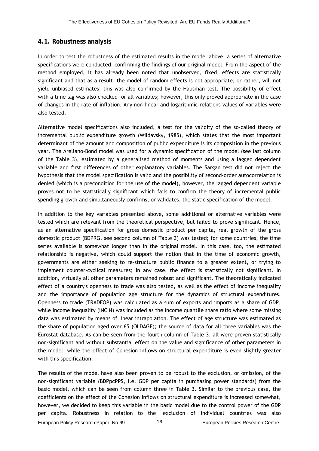#### **4.1. Robustness analysis**

In order to test the robustness of the estimated results in the model above, a series of alternative specifications were conducted, confirming the findings of our original model. From the aspect of the method employed, it has already been noted that unobserved, fixed, effects are statistically significant and that as a result, the model of random effects is not appropriate, or rather, will not yield unbiased estimates; this was also confirmed by the Hausman test. The possibility of effect with a time lag was also checked for all variables; however, this only proved appropriate in the case of changes in the rate of inflation. Any non-linear and logarithmic relations values of variables were also tested.

Alternative model specifications also included, a test for the validity of the so-called theory of incremental public expenditure growth (Wildavsky, 1985), which states that the most important determinant of the amount and composition of public expenditure is its composition in the previous year. The Arellano-Bond model was used for a dynamic specification of the model (see last column of the Table 3), estimated by a generalised method of moments and using a lagged dependent variable and first differences of other explanatory variables. The Sargan test did not reject the hypothesis that the model specification is valid and the possibility of second-order autocorrelation is denied (which is a precondition for the use of the model), however, the lagged dependent variable proves not to be statistically significant which fails to confirm the theory of incremental public spending growth and simultaneously confirms, or validates, the static specification of the model.

In addition to the key variables presented above, some additional or alternative variables were tested which are relevant from the theoretical perspective, but failed to prove significant. Hence, as an alternative specification for gross domestic product per capita, real growth of the gross domestic product (BDPRG, see second column of Table 3) was tested; for some countries, the time series available is somewhat longer than in the original model. In this case, too, the estimated relationship is negative, which could support the notion that in the time of economic growth, governments are either seeking to re-structure public finance to a greater extent, or trying to implement counter-cyclical measures; in any case, the effect is statistically not significant. In addition, virtually all other parameters remained robust and significant. The theoretically indicated effect of a country's openness to trade was also tested, as well as the effect of income inequality and the importance of population age structure for the dynamics of structural expenditures. Openness to trade (TRADEOP) was calculated as a sum of exports and imports as a share of GDP, while income inequality (INCIN) was included as the income quantile share ratio where some missing data was estimated by means of linear intrapolation. The effect of age structure was estimated as the share of population aged over 65 (OLDAGE); the source of data for all three variables was the Eurostat database. As can be seen from the fourth column of Table 3, all were proven statistically non-significant and without substantial effect on the value and significance of other parameters in the model, while the effect of Cohesion inflows on structural expenditure is even slightly greater with this specification.

The results of the model have also been proven to be robust to the exclusion, or omission, of the non-significant variable (BDPpcPPS, i.e. GDP per capita in purchasing power standards) from the basic model, which can be seen from column three in Table 3. Similar to the previous case, the coefficients on the effect of the Cohesion inflows on structural expenditure is increased somewhat, however, we decided to keep this variable in the basic model due to the control power of the GDP per capita. Robustness in relation to the exclusion of individual countries was also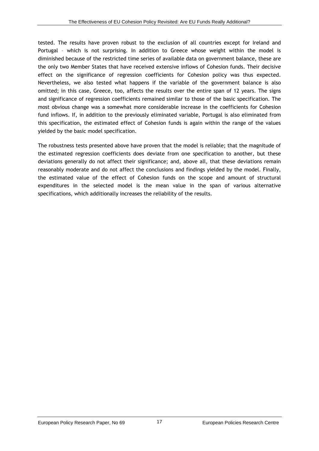tested. The results have proven robust to the exclusion of all countries except for Ireland and Portugal – which is not surprising. In addition to Greece whose weight within the model is diminished because of the restricted time series of available data on government balance, these are the only two Member States that have received extensive inflows of Cohesion funds. Their decisive effect on the significance of regression coefficients for Cohesion policy was thus expected. Nevertheless, we also tested what happens if the variable of the government balance is also omitted; in this case, Greece, too, affects the results over the entire span of 12 years. The signs and significance of regression coefficients remained similar to those of the basic specification. The most obvious change was a somewhat more considerable increase in the coefficients for Cohesion fund inflows. If, in addition to the previously eliminated variable, Portugal is also eliminated from this specification, the estimated effect of Cohesion funds is again within the range of the values yielded by the basic model specification.

The robustness tests presented above have proven that the model is reliable; that the magnitude of the estimated regression coefficients does deviate from one specification to another, but these deviations generally do not affect their significance; and, above all, that these deviations remain reasonably moderate and do not affect the conclusions and findings yielded by the model. Finally, the estimated value of the effect of Cohesion funds on the scope and amount of structural expenditures in the selected model is the mean value in the span of various alternative specifications, which additionally increases the reliability of the results.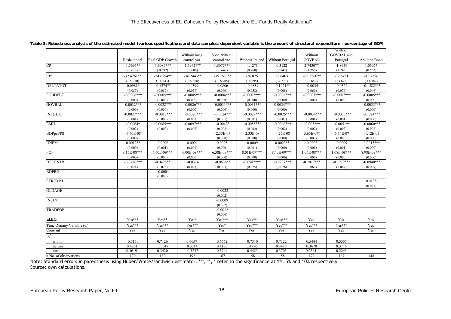|                                  |                       |                 |                |                   |                   |                       |                   | Without           |                        |
|----------------------------------|-----------------------|-----------------|----------------|-------------------|-------------------|-----------------------|-------------------|-------------------|------------------------|
|                                  |                       |                 | Without insig. | Spec. with all    |                   |                       | Without           | GOVBAL and        |                        |
|                                  | Basic model           | Real GDP Growth | control var.   | control var.      | Without Ireland   | Without Portugal      | <b>GOVBAL</b>     | Portugal          | Arellano Bond          |
| CP                               | 1.5695**              | $1.6087***$     | 1.6962***      | $1.8077***$       | 1.1271            | 0.3122                | $2.7430**$        | 1.8659            | $1.0605*$              |
|                                  | (0.617)               | (0.592)         | (0.608)        | (0.642)           | (0.760)           | (0.842)               | (1.250)           | (1.243)           | (0.563)                |
| $\mathbb{CP}^2$                  | $-32.4761**$          | $-34.6754**$    | $-36.2443**$   | $-35.1613**$      | $-26.075$         | 22.6403               | $-69.3560**$      | $-32.5451$        | $-18.7356$             |
|                                  | (15.910)              | (14.343)        | (15.618)       | (16.905)          | (18.095)          | (37.277)              | (32.659)          | (33.678)          | (14.382)               |
| <b>DELTATOT</b>                  | $-0.0981*$            | $-0.1274**$     | $-0.0399$      | $-0.0806$         | $-0.0839$         | $-0.1421**$           | $-0.0034$         | $-0.0324$         | $-0.1582***$           |
|                                  | (0.057)               | (0.057)         | (0.059)        | (0.060)           | (0.058)           | (0.068)               | (0.060)           | (0.076)           | (0.046)                |
| <b>PUBDEBT</b>                   | $-0.0006***$          | $-0.0005***$    | $-0.0005***$   | $-0.0004***$      | $-0.0007***$      | $-0.0006***$          | $-0.0007***$      | $-0.0007***$      | $-0.0005***$           |
|                                  | (0.000)               | (0.000)         | (0.000)        | (0.000)           | (0.000)           | (0.000)               | (0.000)           | (0.000)           | (0.000)                |
| <b>GOVBAL</b>                    | $-0.0032***$          | $-0.0028***$    | $-0.0026***$   | $-0.0031***$      | $-0.0031***$      | $-0.0034***$          |                   |                   | $-0.0033***$           |
|                                  | (0.000)               | (0.000)         | (0.000)        | (0.000)           | (0.000)           | (0.000)               |                   |                   | (0.000)                |
| <b>INFL L1.</b>                  | $-0.0027***$          | $-0.0018***$    | $-0.0020***$   | $-0.0024***$      | $-0.0029***$      | $-0.0025***$          | $-0.0034***$      | $-0.0035***$      | $-0.0024***$           |
|                                  | (0.001)               | (0.000)         | (0.001)        | (0.001)           | (0.001)           | (0.001)               | (0.001)           | (0.001)           | (0.000)                |
| <b>EMU</b>                       | $-0.0064*$            | $-0.0085***$    | $-0.0097***$   | $-0.0042*$        | $-0.0058***$      | $-0.0066***$          | $-0.0052**$       | $-0.0051**$       | $-0.0060***$           |
|                                  | (0.002)               | (0.002)         | (0.002)        | (0.002)           | (0.002)           | (0.002)               | (0.002)           | (0.002)           | (0.002)                |
| <b>BDPpcPPS</b>                  | $-7.40E-08$           |                 |                | $-2.33E-07$       | 2.33E-08          | $-4.25E-08$           | 5.65E-07*         | 6.64E-07          | $-1.12E-07$            |
| <b>UNEM</b>                      | (0.000)<br>$0.0012**$ | 0.0006          | 0.0004         | (0.000)<br>0.0005 | (0.000)<br>0.0009 | (0.000)<br>$0.0023**$ | (0.000)<br>0.0008 | (0.000)<br>0.0009 | (0.000)<br>$0.0015***$ |
|                                  | (0.000)               | (0.001)         | (0.001)        | (0.000)           | (0.001)           | (0.000)               | (0.001)           | (0.001)           | (0.000)                |
| POP                              | 8.15E-08***           | 6.60E-09***     | $6.00E-09***$  | 6.38E-09***       | 8.01E-09***       | 8.40E-09***           | 1.06E-08***       | 1.08E-08***       | 8.98E-09***            |
|                                  | (0.000)               | (0.000)         | (0.000)        | (0.000)           | (0.000)           | (0.000)               | (0.000)           | (0.000)           | (0.000)                |
| <b>DECENTR</b>                   | $-0.0776***$          | $-0.0496**$     | $-0.0314$      | $-0.0636**$       | $-0.0987***$      | $-0.0737***$          | $-0.2017***$      | $-0.1979***$      | $-0.0940***$           |
|                                  | (0.024)               | (0.023)         | (0.023)        | (0.023)           | (0.025)           | (0.026)               | (0.062)           | (0.067)           | (0.029)                |
| <b>BDPRG</b>                     |                       | $-0.0004$       |                |                   |                   |                       |                   |                   |                        |
|                                  |                       | (0.000)         |                |                   |                   |                       |                   |                   |                        |
| <b>STREXPL1</b>                  |                       |                 |                |                   |                   |                       |                   |                   | 0.0138                 |
|                                  |                       |                 |                |                   |                   |                       |                   |                   | (0.071)                |
| <b>OLDAGE</b>                    |                       |                 |                | $-0.0023$         |                   |                       |                   |                   |                        |
|                                  |                       |                 |                | (0.002)           |                   |                       |                   |                   |                        |
| <b>INCIN</b>                     |                       |                 |                | $-0.0009$         |                   |                       |                   |                   |                        |
|                                  |                       |                 |                | (0.002)           |                   |                       |                   |                   |                        |
| <b>TRADEOP</b>                   |                       |                 |                | $-0.0012$         |                   |                       |                   |                   |                        |
|                                  |                       |                 |                | (0.006)           |                   |                       |                   |                   |                        |
| ELEC <sub>i</sub>                | $Yes***$              | Yes**           | Yes*           | $Yes***$          | Yes**             | $Yes***$              | Yes               | Yes               | Yes                    |
| Time Dummy Variable $(\alpha_i)$ | Yes***                | Yes***          | Yes***         | Yes*              | Yes***            | Yes***                | Yes***            | Yes***            | Yes                    |
| Constant                         | Yes                   | Yes             | Yes            | Yes               | Yes               | Yes                   | Yes               | Yes               | Yes                    |
| $R^2$                            |                       |                 |                |                   |                   |                       |                   |                   |                        |
| within                           | 0.7150                | 0.7126          | 0.6657         | 0.6662            | 0.7310            | 0.7322                | 0.5444            | 0.5557            |                        |
| between                          | 0.4201                | 0.3549          | 0.3714         | 0.4180            | 0.4980            | 0.4418                | 0.3670            | 0.3714            |                        |
| total                            | 0.3619                | 0.3420          | 0.3237         | 0.3744            | 0.4423            | 0.3703                | 0.2361            | 0.2243            |                        |
| # No. of observations            | 170                   | 182             | 192            | 167               | 158               | 158                   | 179               | 167               | 148                    |

**Table 3: Robustness analysis of the estimated model (various specifications and data samples; dependent variable is the amount of structural expenditure - percentage of GDP)** 

Note: Standard errors in parenthesis using Huber/White/sandwich estimator. \*\*\*, \*\*, \* refer to the significance at 1%, 5% and 10% respectively Source: own calculations.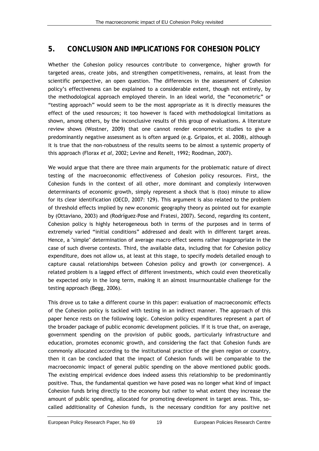### <span id="page-24-0"></span>**5. CONCLUSION AND IMPLICATIONS FOR COHESION POLICY**

Whether the Cohesion policy resources contribute to convergence, higher growth for targeted areas, create jobs, and strengthen competitiveness, remains, at least from the scientific perspective, an open question. The differences in the assessment of Cohesion policy's effectiveness can be explained to a considerable extent, though not entirely, by the methodological approach employed therein. In an ideal world, the "econometric" or "testing approach" would seem to be the most appropriate as it is directly measures the effect of the used resources; it too however is faced with methodological limitations as shown, among others, by the inconclusive results of this group of evaluations. A literature review shows (Wostner, 2009) that one cannot render econometric studies to give a predominantly negative assessment as is often argued (e.g. Gripaios, et al. 2008), although it is true that the non-robustness of the results seems to be almost a systemic property of this approach (Florax *et al,* 2002; Levine and Renelt, 1992; Roodman, 2007).

We would argue that there are three main arguments for the problematic nature of direct testing of the macroeconomic effectiveness of Cohesion policy resources. First, the Cohesion funds in the context of all other, more dominant and complexly interwoven determinants of economic growth, simply represent a shock that is (too) minute to allow for its clear identification (OECD, 2007: 129). This argument is also related to the problem of threshold effects implied by new economic geography theory as pointed out for example by (Ottaviano, 2003) and (Rodríguez-Pose and Fratesi, 2007). Second, regarding its content, Cohesion policy is highly heterogeneous both in terms of the purposes and in terms of extremely varied "initial conditions" addressed and dealt with in different target areas. Hence, a "simple" determination of average macro effect seems rather inappropriate in the case of such diverse contexts. Third, the available data, including that for Cohesion policy expenditure, does not allow us, at least at this stage, to specify models detailed enough to capture causal relationships between Cohesion policy and growth (or convergence). A related problem is a lagged effect of different investments, which could even theoretically be expected only in the long term, making it an almost insurmountable challenge for the testing approach (Begg, 2006).

This drove us to take a different course in this paper: evaluation of macroeconomic effects of the Cohesion policy is tackled with testing in an indirect manner. The approach of this paper hence rests on the following logic. Cohesion policy expenditures represent a part of the broader package of public economic development policies. If it is true that, on average, government spending on the provision of public goods, particularly infrastructure and education, promotes economic growth, and considering the fact that Cohesion funds are commonly allocated according to the institutional practice of the given region or country, then it can be concluded that the impact of Cohesion funds will be comparable to the macroeconomic impact of general public spending on the above mentioned public goods. The existing empirical evidence does indeed assess this relationship to be predominantly positive. Thus, the fundamental question we have posed was no longer what kind of impact Cohesion funds bring directly to the economy but rather to what extent they increase the amount of public spending, allocated for promoting development in target areas. This, socalled additionality of Cohesion funds, is the necessary condition for any positive net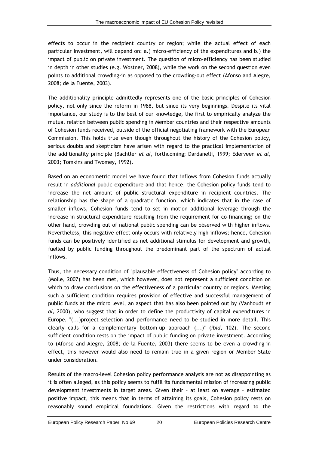effects to occur in the recipient country or region; while the actual effect of each particular investment, will depend on: a.) micro-efficiency of the expenditures and b.) the impact of public on private investment. The question of micro-efficiency has been studied in depth in other studies (e.g. Wostner, 2008), while the work on the second question even points to additional crowding-in as opposed to the crowding-out effect (Afonso and Alegre, 2008; de la Fuente, 2003).

The additionality principle admittedly represents one of the basic principles of Cohesion policy, not only since the reform in 1988, but since its very beginnings. Despite its vital importance, our study is to the best of our knowledge, the first to empirically analyze the mutual relation between public spending in Member countries and their respective amounts of Cohesion funds received, outside of the official negotiating framework with the European Commission. This holds true even though throughout the history of the Cohesion policy, serious doubts and skepticism have arisen with regard to the practical implementation of the additionality principle (Bachtler *et al,* forthcoming; Dardanelli, 1999; Ederveen *et al,*  2003; Tomkins and Twomey, 1992).

Based on an econometric model we have found that inflows from Cohesion funds actually result in *additional* public expenditure and that hence, the Cohesion policy funds tend to increase the net amount of public structural expenditure in recipient countries. The relationship has the shape of a quadratic function, which indicates that in the case of smaller inflows, Cohesion funds tend to set in motion additional leverage through the increase in structural expenditure resulting from the requirement for co-financing; on the other hand, crowding out of national public spending can be observed with higher inflows. Nevertheless, this negative effect only occurs with relatively high inflows; hence, Cohesion funds can be positively identified as net additional stimulus for development and growth, fuelled by public funding throughout the predominant part of the spectrum of actual inflows.

Thus, the necessary condition of "plausable effectiveness of Cohesion policy" according to (Molle, 2007) has been met, which however, does not represent a sufficient condition on which to draw conclusions on the effectiveness of a particular country or regions. Meeting such a sufficient condition requires provision of effective and successful management of public funds at the micro level, an aspect that has also been pointed out by (Vanhoudt *et al,* 2000), who suggest that in order to define the productivity of capital expenditures in Europe, "(...)project selection and performance need to be studied in more detail. This clearly calls for a complementary bottom-up approach (...)" (*ibid*, 102). The second sufficient condition rests on the impact of public funding on private investment. According to (Afonso and Alegre, 2008; de la Fuente, 2003) there seems to be even a crowding-in effect, this however would also need to remain true in a given region or Member State under consideration.

Results of the macro-level Cohesion policy performance analysis are not as disappointing as it is often alleged, as this policy seems to fulfil its fundamental mission of increasing public development investments in target areas. Given their – at least on average – estimated positive impact, this means that in terms of attaining its goals, Cohesion policy rests on reasonably sound empirical foundations. Given the restrictions with regard to the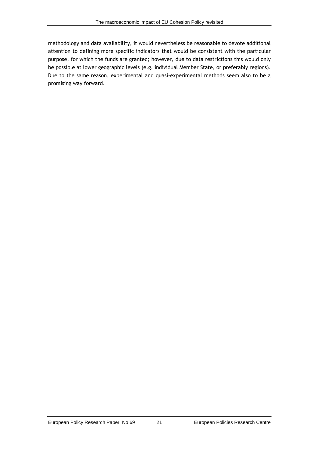methodology and data availability, it would nevertheless be reasonable to devote additional attention to defining more specific indicators that would be consistent with the particular purpose, for which the funds are granted; however, due to data restrictions this would only be possible at lower geographic levels (e.g. individual Member State, or preferably regions). Due to the same reason, experimental and quasi-experimental methods seem also to be a promising way forward.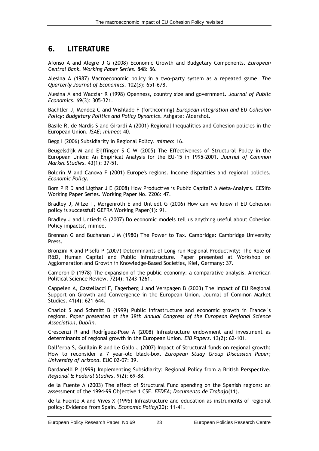#### **6. LITERATURE**

Afonso A and Alegre J G (2008) Economic Growth and Budgetary Components. *European Central Bank. Working Paper Series*. 848: 56.

Alesina A (1987) Macroeconomic policy in a two-party system as a repeated game. *The Quarterly Journal of Economics*. 102(3): 651-678.

Alesina A and Wacziar R (1998) Openness, country size and government. *Journal of Public Economics*. 69(3): 305–321.

<span id="page-28-0"></span>Bachtler J, Mendez C and Wishlade F (forthcoming) *European Integration and EU Cohesion Policy: Budgetary Politics and Policy Dynamics*. Ashgate: Aldershot.

Basile R, de Nardis S and Girardi A (2001) Regional Inequalities and Cohesion policies in the European Union. *ISAE; mimeo*: 40.

Begg I (2006) Subsidiarity in Regional Policy. *mimeo*: 16.

Beugelsdijk M and Eijffinger S C W (2005) The Effectiveness of Structural Policy in the European Union: An Empirical Analysis for the EU-15 in 1995–2001. *Journal of Common Market Studies*. 43(1): 37-51.

Boldrin M and Canova F (2001) Europe's regions. Income disparities and regional policies. *Economic Policy*.

Bom P R D and Ligthar J E (2008) How Productive is Public Capital? A Meta-Analysis. CESifo Working Paper Series. Working Paper No. 2206: 47.

Bradley J, Mitze T, Morgenroth E and Untiedt G (2006) How can we know if EU Cohesion policy is successful? GEFRA Working Paper(1): 91.

Bradley J and Untiedt G (2007) Do economic models tell us anything useful about Cohesion Policy impacts?, mimeo.

Brennan G and Buchanan J M (1980) The Power to Tax. Cambridge: Cambridge University Press.

Bronzini R and Piselli P (2007) Determinants of Long-run Regional Productivity: The Role of R&D, Human Capital and Public Infrastructure. Paper presented at Workshop on Agglomeration and Growth in Knowledge-Based Societies, Kiel, Germany: 37.

Cameron D (1978) The expansion of the public economy: a comparative analysis. American Political Science Review. 72(4): 1243–1261.

Cappelen A, Castellacci F, Fagerberg J and Verspagen B (2003) The Impact of EU Regional Support on Growth and Convergence in the European Union. Journal of Common Market Studies. 41(4): 621-644.

Charlot S and Schmitt B (1999) Public infrastructure and economic growth in France´s regions. *Paper presented at the 39th Annual Congress of the European Regional Science Association, Dublin*.

Crescenzi R and Rodríguez-Pose A (2008) Infrastructure endowment and investment as determinants of regional growth in the European Union. *EIB Papers*. 13(2): 62-101.

Dall'erba S, Guillain R and Le Gallo J (2007) Impact of Structural funds on regional growth: How to reconsider a 7 year-old black-box. *European Study Group Discussion Paper; University of Arizona*. EUC 02-07: 39.

Dardanelli P (1999) Implementing Subsidiarity: Regional Policy from a British Perspective. *Regional & Federal Studies*. 9(2): 69-88.

de la Fuente A (2003) The effect of Structural Fund spending on the Spanish regions: an assessment of the 1994-99 Objective 1 CSF. *FEDEA; Documento de Trabajo*(11).

de la Fuente A and Vives X (1995) Infrastructure and education as instruments of regional policy: Evidence from Spain. *Economic Policy*(20): 11-41.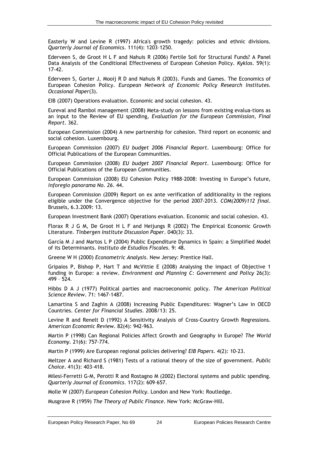Easterly W and Levine R (1997) Africa's growth tragedy: policies and ethnic divisions. *Quarterly Journal of Economics*. 111(4): 1203–1250.

Ederveen S, de Groot H L F and Nahuis R (2006) Fertile Soil for Structural Funds? A Panel Data Analysis of the Conditional Effectiveness of European Cohesion Policy. *Kyklos*. 59(1): 17-42.

Ederveen S, Gorter J, Mooij R D and Nahuis R (2003). Funds and Games. The Economics of European Cohesion Policy. *European Network of Economic Policy Research Institutes. Occasional Paper*(3).

EIB (2007) Operations evaluation. Economic and social cohesion. 43.

Eureval and Rambol management (2008) Meta-study on lessons from existing evalua-tions as an input to the Review of EU spending, *Evaluation for the European Commission, Final Report*. 362.

European Commission (2004) A new partnership for cohesion. Third report on economic and social cohesion. Luxembourg.

European Commission (2007) *EU budget 2006 Financial Report*. Luxembourg: Office for Official Publications of the European Communities.

European Commission (2008) *EU budget 2007 Financial Report*. Luxembourg: Office for Official Publications of the European Communities.

European Commission (2008) EU Cohesion Policy 1988-2008: Investing in Europe's future, *inforegio panorama No. 26*. 44.

European Commission (2009) Report on ex ante verification of additionality in the regions eligible under the Convergence objective for the period 2007-2013. *COM(2009)112 final*. Brussels, 6.3.2009: 13.

European Investment Bank (2007) Operations evaluation. Economic and social cohesion. 43.

Florax R J G M, De Groot H L F and Heijungs R (2002) The Empirical Economic Growth Literature. *Tinbergen Institute Discussion Paper*. 040(3): 33.

García M J and Martos L P (2004) Public Expenditure Dynamics in Spain: a Simplified Model of its Determinants. *Instituto de Estudios Fiscales*. 9: 48.

Greene W H (2000) *Econometric Analysis*. New Jersey: Prentice Hall.

Gripaios P, Bishop P, Hart T and McVittie E (2008) Analysing the impact of Objective 1 funding in Europe: a review. *Environment and Planning C: Government and Policy* 26(3): 499 – 524.

Hibbs D A J (1977) Political parties and macroeconomic policy. *The American Political Science Review*. 71: 1467-1487.

Lamartina S and Zaghin A (2008) Increasing Public Expenditures: Wagner's Law in OECD Countries. *Center for Financial Studies*. 2008/13: 25.

Levine R and Renelt D (1992) A Sensitivity Analysis of Cross-Country Growth Regressions. *American Economic Review*. 82(4): 942-963.

Martin P (1998) Can Regional Policies Affect Growth and Geography in Europe? *The World Economy*. 21(6): 757-774.

Martin P (1999) Are European regional policies delivering? *EIB Papers*. 4(2): 10-23.

Meltzer A and Richard S (1981) Tests of a rational theory of the size of government. *Public Choice*. 41(3): 403–418.

Milesi-Ferretti G-M, Perotti R and Rostagno M (2002) Electoral systems and public spending. *Quarterly Journal of Economics*. 117(2): 609–657.

Molle W (2007) *European Cohesion Policy*. London and New York: Routledge.

Musgrave R (1959) *The Theory of Public Finance*. New York: McGraw-Hill.